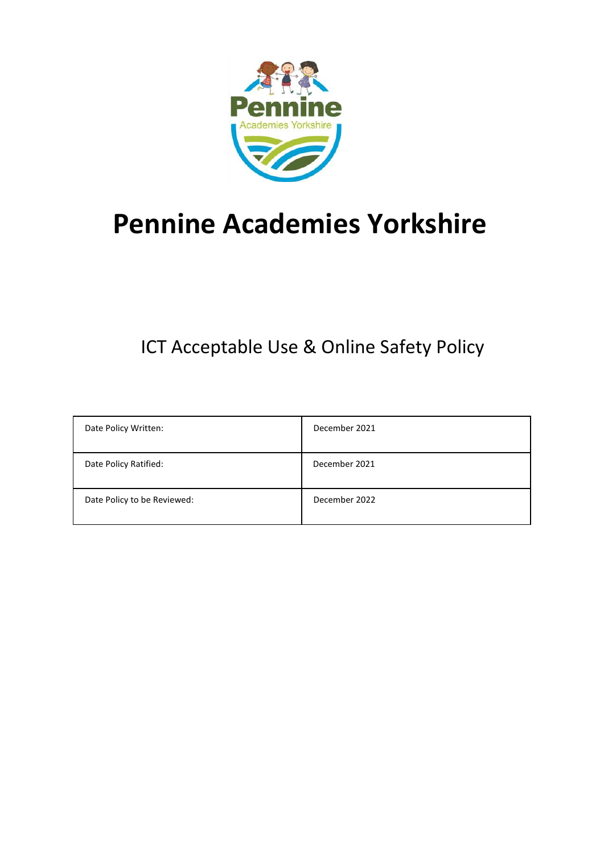

# **Pennine Academies Yorkshire**

## **ICT Acceptable Use & Online Safety Policy**

| Date Policy Written:        | December 2021 |
|-----------------------------|---------------|
| Date Policy Ratified:       | December 2021 |
| Date Policy to be Reviewed: | December 2022 |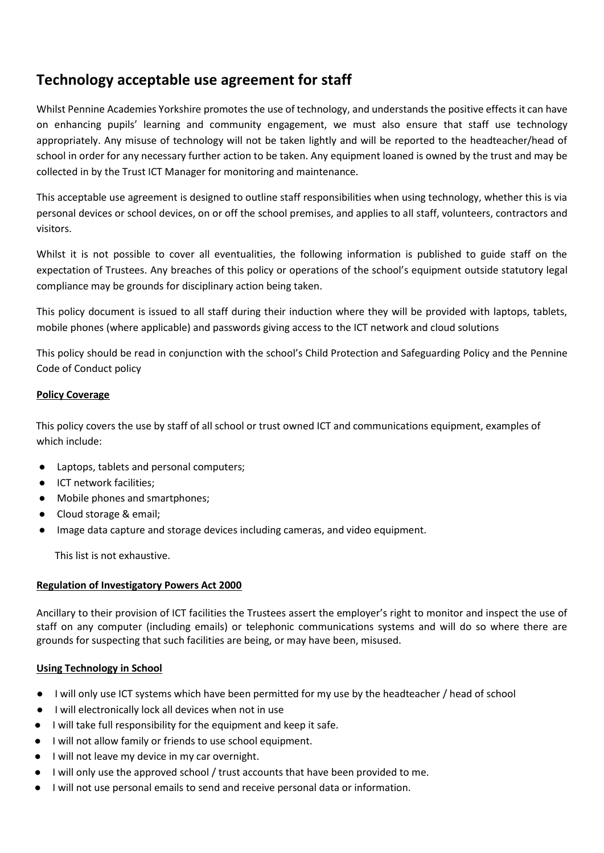### **Technology acceptable use agreement for staff**

Whilst Pennine Academies Yorkshire promotes the use of technology, and understands the positive effects it can have on enhancing pupils' learning and community engagement, we must also ensure that staff use technology appropriately. Any misuse of technology will not be taken lightly and will be reported to the headteacher/head of school in order for any necessary further action to be taken. Any equipment loaned is owned by the trust and may be collected in by the Trust ICT Manager for monitoring and maintenance.

This acceptable use agreement is designed to outline staff responsibilities when using technology, whether this is via personal devices or school devices, on or off the school premises, and applies to all staff, volunteers, contractors and visitors.

Whilst it is not possible to cover all eventualities, the following information is published to guide staff on the expectation of Trustees. Any breaches of this policy or operations of the school's equipment outside statutory legal compliance may be grounds for disciplinary action being taken.

This policy document is issued to all staff during their induction where they will be provided with laptops, tablets, mobile phones (where applicable) and passwords giving access to the ICT network and cloud solutions

This policy should be read in conjunction with the school's Child Protection and Safeguarding Policy and the Pennine Code of Conduct policy

#### **Policy Coverage**

This policy covers the use by staff of all school or trust owned ICT and communications equipment, examples of which include:

- Laptops, tablets and personal computers;
- ICT network facilities;
- Mobile phones and smartphones;
- Cloud storage & email;
- Image data capture and storage devices including cameras, and video equipment.

This list is not exhaustive.

#### **Regulation of Investigatory Powers Act 2000**

Ancillary to their provision of ICT facilities the Trustees assert the employer's right to monitor and inspect the use of staff on any computer (including emails) or telephonic communications systems and will do so where there are grounds for suspecting that such facilities are being, or may have been, misused.

#### **Using Technology in School**

- I will only use ICT systems which have been permitted for my use by the headteacher / head of school
- I will electronically lock all devices when not in use
- I will take full responsibility for the equipment and keep it safe.
- I will not allow family or friends to use school equipment.
- I will not leave my device in my car overnight.
- I will only use the approved school / trust accounts that have been provided to me.
- I will not use personal emails to send and receive personal data or information.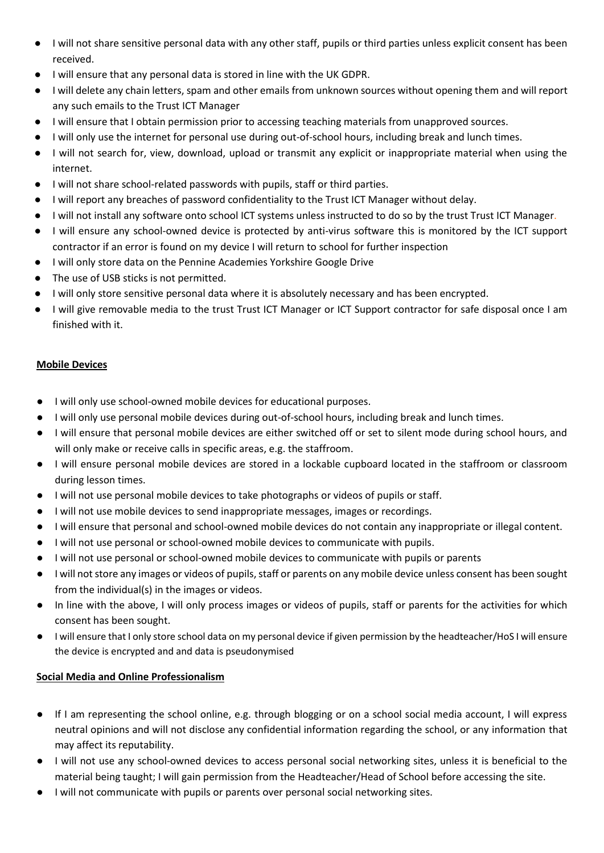- I will not share sensitive personal data with any other staff, pupils or third parties unless explicit consent has been received.
- I will ensure that any personal data is stored in line with the UK GDPR.
- I will delete any chain letters, spam and other emails from unknown sources without opening them and will report any such emails to the Trust ICT Manager
- I will ensure that I obtain permission prior to accessing teaching materials from unapproved sources.
- I will only use the internet for personal use during out-of-school hours, including break and lunch times.
- I will not search for, view, download, upload or transmit any explicit or inappropriate material when using the internet.
- I will not share school-related passwords with pupils, staff or third parties.
- I will report any breaches of password confidentiality to the Trust ICT Manager without delay.
- I will not install any software onto school ICT systems unless instructed to do so by the trust Trust ICT Manager.
- I will ensure any school-owned device is protected by anti-virus software this is monitored by the ICT support contractor if an error is found on my device I will return to school for further inspection
- I will only store data on the Pennine Academies Yorkshire Google Drive
- The use of USB sticks is not permitted.
- I will only store sensitive personal data where it is absolutely necessary and has been encrypted.
- I will give removable media to the trust Trust ICT Manager or ICT Support contractor for safe disposal once I am finished with it.

#### **Mobile Devices**

- I will only use school-owned mobile devices for educational purposes.
- I will only use personal mobile devices during out-of-school hours, including break and lunch times.
- I will ensure that personal mobile devices are either switched off or set to silent mode during school hours, and will only make or receive calls in specific areas, e.g. the staffroom.
- I will ensure personal mobile devices are stored in a lockable cupboard located in the staffroom or classroom during lesson times.
- I will not use personal mobile devices to take photographs or videos of pupils or staff.
- I will not use mobile devices to send inappropriate messages, images or recordings.
- I will ensure that personal and school-owned mobile devices do not contain any inappropriate or illegal content.
- I will not use personal or school-owned mobile devices to communicate with pupils.
- I will not use personal or school-owned mobile devices to communicate with pupils or parents
- I will not store any images or videos of pupils, staff or parents on any mobile device unless consent has been sought from the individual(s) in the images or videos.
- In line with the above, I will only process images or videos of pupils, staff or parents for the activities for which consent has been sought.
- I will ensure that I only store school data on my personal device if given permission by the headteacher/HoS I will ensure the device is encrypted and and data is pseudonymised

#### **Social Media and Online Professionalism**

- If I am representing the school online, e.g. through blogging or on a school social media account, I will express neutral opinions and will not disclose any confidential information regarding the school, or any information that may affect its reputability.
- I will not use any school-owned devices to access personal social networking sites, unless it is beneficial to the material being taught; I will gain permission from the Headteacher/Head of School before accessing the site.
- I will not communicate with pupils or parents over personal social networking sites.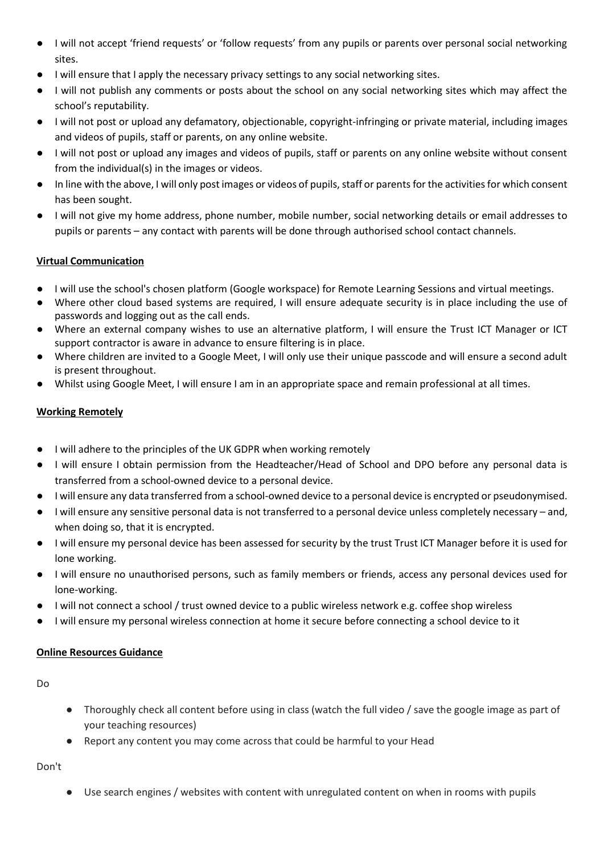- I will not accept 'friend requests' or 'follow requests' from any pupils or parents over personal social networking sites.
- I will ensure that I apply the necessary privacy settings to any social networking sites.
- I will not publish any comments or posts about the school on any social networking sites which may affect the school's reputability.
- I will not post or upload any defamatory, objectionable, copyright-infringing or private material, including images and videos of pupils, staff or parents, on any online website.
- I will not post or upload any images and videos of pupils, staff or parents on any online website without consent from the individual(s) in the images or videos.
- In line with the above, I will only post images or videos of pupils, staff or parents for the activities for which consent has been sought.
- I will not give my home address, phone number, mobile number, social networking details or email addresses to pupils or parents – any contact with parents will be done through authorised school contact channels.

#### **Virtual Communication**

- I will use the school's chosen platform (Google workspace) for Remote Learning Sessions and virtual meetings.
- Where other cloud based systems are required, I will ensure adequate security is in place including the use of passwords and logging out as the call ends.
- Where an external company wishes to use an alternative platform, I will ensure the Trust ICT Manager or ICT support contractor is aware in advance to ensure filtering is in place.
- Where children are invited to a Google Meet, I will only use their unique passcode and will ensure a second adult is present throughout.
- Whilst using Google Meet, I will ensure I am in an appropriate space and remain professional at all times.

#### **Working Remotely**

- I will adhere to the principles of the UK GDPR when working remotely
- I will ensure I obtain permission from the Headteacher/Head of School and DPO before any personal data is transferred from a school-owned device to a personal device.
- I will ensure any data transferred from a school-owned device to a personal device is encrypted or pseudonymised.
- I will ensure any sensitive personal data is not transferred to a personal device unless completely necessary and, when doing so, that it is encrypted.
- I will ensure my personal device has been assessed for security by the trust Trust ICT Manager before it is used for lone working.
- I will ensure no unauthorised persons, such as family members or friends, access any personal devices used for lone-working.
- I will not connect a school / trust owned device to a public wireless network e.g. coffee shop wireless
- I will ensure my personal wireless connection at home it secure before connecting a school device to it

#### **Online Resources Guidance**

Do

- Thoroughly check all content before using in class (watch the full video / save the google image as part of your teaching resources)
- Report any content you may come across that could be harmful to your Head

Don't

● Use search engines / websites with content with unregulated content on when in rooms with pupils